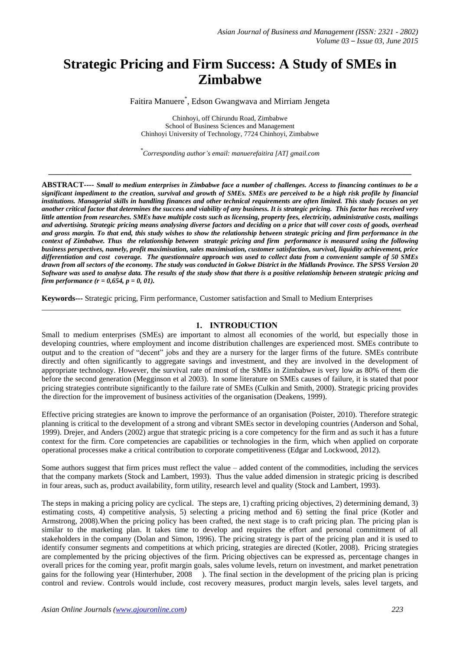# **Strategic Pricing and Firm Success: A Study of SMEs in Zimbabwe**

Faitira Manuere\* , Edson Gwangwava and Mirriam Jengeta

Chinhoyi, off Chirundu Road, Zimbabwe School of Business Sciences and Management Chinhoyi University of Technology, 7724 Chinhoyi, Zimbabwe

*\* Corresponding author's email: manuerefaitira [AT] gmail.com*

**\_\_\_\_\_\_\_\_\_\_\_\_\_\_\_\_\_\_\_\_\_\_\_\_\_\_\_\_\_\_\_\_\_\_\_\_\_\_\_\_\_\_\_\_\_\_\_\_\_\_\_\_\_\_\_\_\_\_\_\_\_\_\_\_\_\_\_\_\_\_\_\_\_\_\_\_\_\_\_\_\_\_\_\_\_\_\_\_\_\_\_\_\_\_**

**ABSTRACT----** *Small to medium enterprises in Zimbabwe face a number of challenges. Access to financing continues to be a significant impediment to the creation, survival and growth of SMEs. SMEs are perceived to be a high risk profile by financial institutions. Managerial skills in handling finances and other technical requirements are often limited. This study focuses on yet another critical factor that determines the success and viability of any business. It is strategic pricing. This factor has received very little attention from researches. SMEs have multiple costs such as licensing, property fees, electricity, administrative costs, mailings and advertising. Strategic pricing means analysing diverse factors and deciding on a price that will cover costs of goods, overhead and gross margin. To that end, this study wishes to show the relationship between strategic pricing and firm performance in the context of Zimbabwe. Thus the relationship between strategic pricing and firm performance is measured using the following business perspectives, namely, profit maximisation, sales maximisation, customer satisfaction, survival, liquidity achievement, price differentiation and cost coverage. The questionnaire approach was used to collect data from a convenient sample of 50 SMEs drawn from all sectors of the economy. The study was conducted in Gokwe District in the Midlands Province. The SPSS Version 20 Software was used to analyse data. The results of the study show that there is a positive relationship between strategic pricing and firm performance (r = 0,654, p = 0, 01).*

**Keywords---** Strategic pricing, Firm performance, Customer satisfaction and Small to Medium Enterprises

\_\_\_\_\_\_\_\_\_\_\_\_\_\_\_\_\_\_\_\_\_\_\_\_\_\_\_\_\_\_\_\_\_\_\_\_\_\_\_\_\_\_\_\_\_\_\_\_\_\_\_\_\_\_\_\_\_\_\_\_\_\_\_\_\_\_\_\_\_\_\_\_\_\_\_\_\_\_\_\_\_\_\_\_\_\_\_\_\_\_\_\_\_

#### **1. INTRODUCTION**

Small to medium enterprises (SMEs) are important to almost all economies of the world, but especially those in developing countries, where employment and income distribution challenges are experienced most. SMEs contribute to output and to the creation of "decent" jobs and they are a nursery for the larger firms of the future. SMEs contribute directly and often significantly to aggregate savings and investment, and they are involved in the development of appropriate technology. However, the survival rate of most of the SMEs in Zimbabwe is very low as 80% of them die before the second generation (Megginson et al 2003). In some literature on SMEs causes of failure, it is stated that poor pricing strategies contribute significantly to the failure rate of SMEs (Culkin and Smith, 2000). Strategic pricing provides the direction for the improvement of business activities of the organisation (Deakens, 1999).

Effective pricing strategies are known to improve the performance of an organisation (Poister, 2010). Therefore strategic planning is critical to the development of a strong and vibrant SMEs sector in developing countries (Anderson and Sohal, 1999). Drejer, and Anders (2002) argue that strategic pricing is a core competency for the firm and as such it has a future context for the firm. Core competencies are capabilities or technologies in the firm, which when applied on corporate operational processes make a critical contribution to corporate competitiveness (Edgar and Lockwood, 2012).

Some authors suggest that firm prices must reflect the value – added content of the commodities, including the services that the company markets (Stock and Lambert, 1993). Thus the value added dimension in strategic pricing is described in four areas, such as, product availability, form utility, research level and quality (Stock and Lambert, 1993).

The steps in making a pricing policy are cyclical. The steps are, 1) crafting pricing objectives, 2) determining demand, 3) estimating costs, 4) competitive analysis, 5) selecting a pricing method and 6) setting the final price (Kotler and Armstrong, 2008).When the pricing policy has been crafted, the next stage is to craft pricing plan. The pricing plan is similar to the marketing plan. It takes time to develop and requires the effort and personal commitment of all stakeholders in the company (Dolan and Simon, 1996). The pricing strategy is part of the pricing plan and it is used to identify consumer segments and competitions at which pricing, strategies are directed (Kotler, 2008). Pricing strategies are complemented by the pricing objectives of the firm. Pricing objectives can be expressed as, percentage changes in overall prices for the coming year, profit margin goals, sales volume levels, return on investment, and market penetration gains for the following year (Hinterhuber, 2008 ). The final section in the development of the pricing plan is pricing control and review. Controls would include, cost recovery measures, product margin levels, sales level targets, and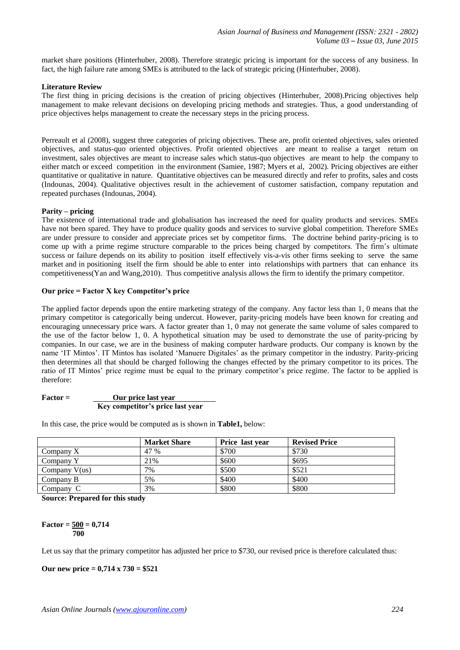market share positions (Hinterhuber, 2008). Therefore strategic pricing is important for the success of any business. In fact, the high failure rate among SMEs is attributed to the lack of strategic pricing (Hinterhuber, 2008).

#### **Literature Review**

The first thing in pricing decisions is the creation of pricing objectives (Hinterhuber, 2008).Pricing objectives help management to make relevant decisions on developing pricing methods and strategies. Thus, a good understanding of price objectives helps management to create the necessary steps in the pricing process.

Perreault et al (2008), suggest three categories of pricing objectives. These are, profit oriented objectives, sales oriented objectives, and status-quo oriented objectives. Profit oriented objectives are meant to realise a target return on investment, sales objectives are meant to increase sales which status-quo objectives are meant to help the company to either match or exceed competition in the environment (Samiee, 1987; Myers et al, 2002). Pricing objectives are either quantitative or qualitative in nature. Quantitative objectives can be measured directly and refer to profits, sales and costs (Indounas, 2004). Qualitative objectives result in the achievement of customer satisfaction, company reputation and repeated purchases (Indounas, 2004).

#### **Parity – pricing**

The existence of international trade and globalisation has increased the need for quality products and services. SMEs have not been spared. They have to produce quality goods and services to survive global competition. Therefore SMEs are under pressure to consider and appreciate prices set by competitor firms. The doctrine behind parity-pricing is to come up with a prime regime structure comparable to the prices being charged by competitors. The firm's ultimate success or failure depends on its ability to position itself effectively vis-a-vis other firms seeking to serve the same market and in positioning itself the firm should be able to enter into relationships with partners that can enhance its competitiveness(Yan and Wang,2010). Thus competitive analysis allows the firm to identify the primary competitor.

## **Our price = Factor X key Competitor's price**

The applied factor depends upon the entire marketing strategy of the company. Any factor less than 1, 0 means that the primary competitor is categorically being undercut. However, parity-pricing models have been known for creating and encouraging unnecessary price wars. A factor greater than 1, 0 may not generate the same volume of sales compared to the use of the factor below 1, 0. A hypothetical situation may be used to demonstrate the use of parity-pricing by companies. In our case, we are in the business of making computer hardware products. Our company is known by the name "IT Mintos". IT Mintos has isolated "Manuere Digitales" as the primary competitor in the industry. Parity-pricing then determines all that should be charged following the changes effected by the primary competitor to its prices. The ratio of IT Mintos' price regime must be equal to the primary competitor's price regime. The factor to be applied is therefore:

| $Factor =$ | Our price last year              |
|------------|----------------------------------|
|            | Key competitor's price last year |

In this case, the price would be computed as is shown in **Table1,** below:

|                 | <b>Market Share</b> | Price last year | <b>Revised Price</b> |
|-----------------|---------------------|-----------------|----------------------|
| Company X       | 47 %                | \$700           | \$730                |
| Company Y       | 21%                 | \$600           | \$695                |
| Company $V(us)$ | 7%                  | \$500           | \$521                |
| Company B       | 5%                  | \$400           | \$400                |
| Company C       | 3%                  | \$800           | \$800                |

**Source: Prepared for this study**

#### $Factor = 500 = 0,714$  **700**

Let us say that the primary competitor has adjusted her price to \$730, our revised price is therefore calculated thus:

**Our new price = 0,714 x 730 = \$521**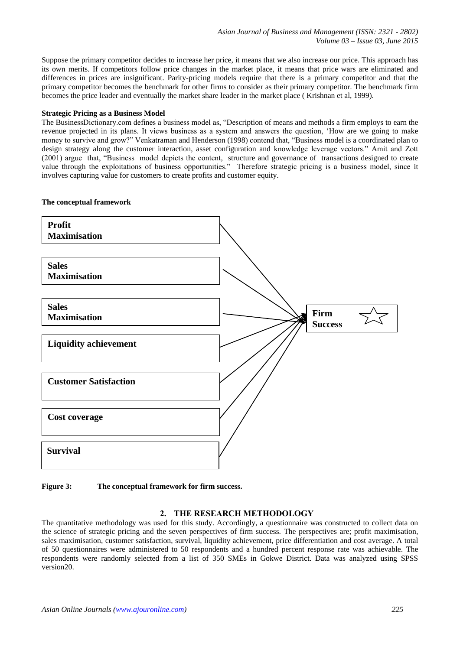Suppose the primary competitor decides to increase her price, it means that we also increase our price. This approach has its own merits. If competitors follow price changes in the market place, it means that price wars are eliminated and differences in prices are insignificant. Parity-pricing models require that there is a primary competitor and that the primary competitor becomes the benchmark for other firms to consider as their primary competitor. The benchmark firm becomes the price leader and eventually the market share leader in the market place ( Krishnan et al, 1999).

## **Strategic Pricing as a Business Model**

The BusinessDictionary.com defines a business model as, "Description of means and methods a firm employs to earn the revenue projected in its plans. It views business as a system and answers the question, "How are we going to make money to survive and grow?" Venkatraman and Henderson (1998) contend that, "Business model is a coordinated plan to design strategy along the customer interaction, asset configuration and knowledge leverage vectors." Amit and Zott (2001) argue that, "Business model depicts the content, structure and governance of transactions designed to create value through the exploitations of business opportunities." Therefore strategic pricing is a business model, since it involves capturing value for customers to create profits and customer equity.

## **The conceptual framework**



**Figure 3: The conceptual framework for firm success.** 

# **2. THE RESEARCH METHODOLOGY**

The quantitative methodology was used for this study. Accordingly, a questionnaire was constructed to collect data on the science of strategic pricing and the seven perspectives of firm success. The perspectives are; profit maximisation, sales maximisation, customer satisfaction, survival, liquidity achievement, price differentiation and cost average. A total of 50 questionnaires were administered to 50 respondents and a hundred percent response rate was achievable. The respondents were randomly selected from a list of 350 SMEs in Gokwe District. Data was analyzed using SPSS version20.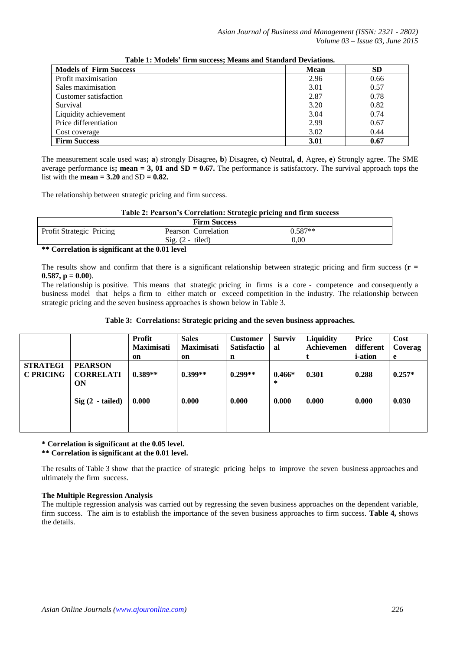| <b>Models of Firm Success</b> | <b>Mean</b> | <b>SD</b> |
|-------------------------------|-------------|-----------|
| Profit maximisation           | 2.96        | 0.66      |
| Sales maximisation            | 3.01        | 0.57      |
| Customer satisfaction         | 2.87        | 0.78      |
| Survival                      | 3.20        | 0.82      |
| Liquidity achievement         | 3.04        | 0.74      |
| Price differentiation         | 2.99        | 0.67      |
| Cost coverage                 | 3.02        | 0.44      |
| <b>Firm Success</b>           | 3.01        | 0.67      |

**Table 1: Models' firm success; Means and Standard Deviations.**

The measurement scale used was**; a**) strongly Disagree**, b**) Disagree**, c)** Neutral**, d**, Agree**, e**) Strongly agree. The SME average performance is**; mean = 3, 01 and**  $SD = 0.67$ **. The performance is satisfactory. The survival approach tops the** list with the **mean = 3.20** and  $SD = 0.82$ .

The relationship between strategic pricing and firm success.

#### **Table 2: Pearson's Correlation: Strategic pricing and firm success**

| <b>Firm Success</b>      |                     |           |  |
|--------------------------|---------------------|-----------|--|
| Profit Strategic Pricing | Pearson Correlation | $0.587**$ |  |
|                          | $Sig. (2 - tiled)$  | 0.00      |  |
| .                        | .                   |           |  |

**\*\* Correlation is significant at the 0.01 level**

The results show and confirm that there is a significant relationship between strategic pricing and firm success (**r =**   $0.587$ ,  $p = 0.00$ ).

The relationship is positive. This means that strategic pricing in firms is a core - competence and consequently a business model that helps a firm to either match or exceed competition in the industry. The relationship between strategic pricing and the seven business approaches is shown below in Table 3.

|                                     |                                                               | <b>Profit</b><br>Maximisati | <b>Sales</b><br><b>Maximisati</b> | <b>Customer</b><br><b>Satisfactio</b> | <b>Surviv</b><br>al    | <b>Liquidity</b><br>Achievemen | Price<br>different                | Cost<br>Coverag        |
|-------------------------------------|---------------------------------------------------------------|-----------------------------|-----------------------------------|---------------------------------------|------------------------|--------------------------------|-----------------------------------|------------------------|
| <b>STRATEGI</b><br><b>C PRICING</b> | <b>PEARSON</b><br><b>CORRELATI</b><br>ON<br>$Sig(2 - tailed)$ | on<br>$0.389**$<br>0.000    | on<br>$0.399**$<br>0.000          | n<br>$0.299**$<br>0.000               | $0.466*$<br>*<br>0.000 | 0.301<br>0.000                 | <i>i</i> -ation<br>0.288<br>0.000 | e<br>$0.257*$<br>0.030 |

**\* Correlation is significant at the 0.05 level.** 

**\*\* Correlation is significant at the 0.01 level.** 

The results of Table 3 show that the practice of strategic pricing helps to improve the seven business approaches and ultimately the firm success.

## **The Multiple Regression Analysis**

The multiple regression analysis was carried out by regressing the seven business approaches on the dependent variable, firm success. The aim is to establish the importance of the seven business approaches to firm success. **Table 4,** shows the details.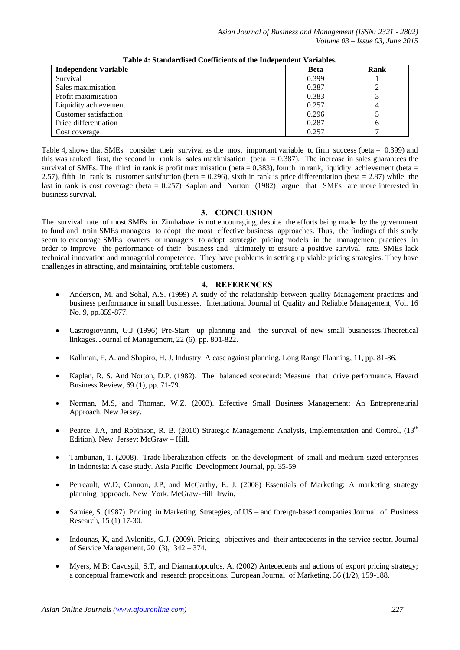| <b>Independent Variable</b> | <b>Beta</b> | Rank |
|-----------------------------|-------------|------|
| Survival                    | 0.399       |      |
| Sales maximisation          | 0.387       |      |
| Profit maximisation         | 0.383       |      |
| Liquidity achievement       | 0.257       | 4    |
| Customer satisfaction       | 0.296       |      |
| Price differentiation       | 0.287       | h    |
| Cost coverage               | 0.257       |      |

**Table 4: Standardised Coefficients of the Independent Variables.**

Table 4, shows that SMEs consider their survival as the most important variable to firm success (beta = 0.399) and this was ranked first, the second in rank is sales maximisation (beta  $= 0.387$ ). The increase in sales guarantees the survival of SMEs. The third in rank is profit maximisation (beta  $= 0.383$ ), fourth in rank, liquidity achievement (beta  $=$ 2.57), fifth in rank is customer satisfaction (beta  $= 0.296$ ), sixth in rank is price differentiation (beta  $= 2.87$ ) while the last in rank is cost coverage (beta = 0.257) Kaplan and Norton (1982) argue that SMEs are more interested in business survival.

## **3. CONCLUSION**

The survival rate of most SMEs in Zimbabwe is not encouraging, despite the efforts being made by the government to fund and train SMEs managers to adopt the most effective business approaches. Thus, the findings of this study seem to encourage SMEs owners or managers to adopt strategic pricing models in the management practices in order to improve the performance of their business and ultimately to ensure a positive survival rate. SMEs lack technical innovation and managerial competence. They have problems in setting up viable pricing strategies. They have challenges in attracting, and maintaining profitable customers.

## **4. REFERENCES**

- Anderson, M. and Sohal, A.S. (1999) A study of the relationship between quality Management practices and business performance in small businesses. International Journal of Quality and Reliable Management, Vol. 16 No. 9, pp.859-877.
- Castrogiovanni, G.J (1996) Pre-Start up planning and the survival of new small businesses.Theoretical linkages. Journal of Management, 22 (6), pp. 801-822.
- Kallman, E. A. and Shapiro, H. J. Industry: A case against planning. Long Range Planning, 11, pp. 81-86.
- Kaplan, R. S. And Norton, D.P. (1982). The balanced scorecard: Measure that drive performance. Havard Business Review, 69 (1), pp. 71-79.
- Norman, M.S, and Thoman, W.Z. (2003). Effective Small Business Management: An Entrepreneurial Approach. New Jersey.
- Pearce, J.A, and Robinson, R. B. (2010) Strategic Management: Analysis, Implementation and Control,  $(13<sup>th</sup>$ Edition). New Jersey: McGraw – Hill.
- Tambunan, T. (2008). Trade liberalization effects on the development of small and medium sized enterprises in Indonesia: A case study. Asia Pacific Development Journal, pp. 35-59.
- Perreault, W.D; Cannon, J.P, and McCarthy, E. J. (2008) Essentials of Marketing: A marketing strategy planning approach. New York. McGraw-Hill Irwin.
- Samiee, S. (1987). Pricing in Marketing Strategies, of US and foreign-based companies Journal of Business Research, 15 (1) 17-30.
- Indounas, K, and Avlonitis, G.J. (2009). Pricing objectives and their antecedents in the service sector. Journal of Service Management, 20 (3), 342 – 374.
- Myers, M.B; Cavusgil, S.T, and Diamantopoulos, A. (2002) Antecedents and actions of export pricing strategy; a conceptual framework and research propositions. European Journal of Marketing, 36 (1/2), 159-188.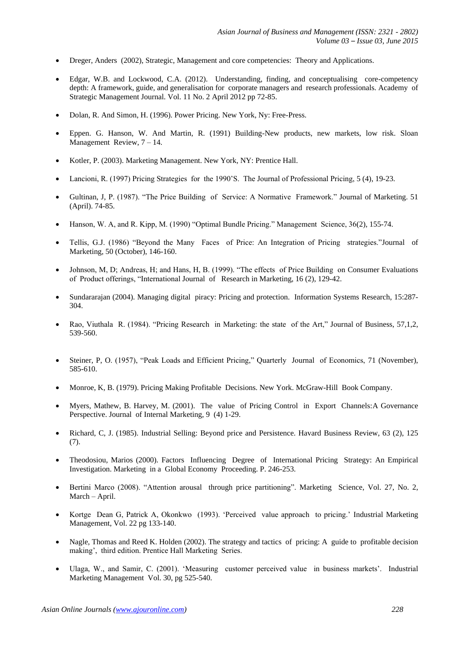- Dreger, Anders (2002), Strategic, Management and core competencies: Theory and Applications.
- Edgar, W.B. and Lockwood, C.A. (2012). Understanding, finding, and conceptualising core-competency depth: A framework, guide, and generalisation for corporate managers and research professionals. Academy of Strategic Management Journal. Vol. 11 No. 2 April 2012 pp 72-85.
- Dolan, R. And Simon, H. (1996). Power Pricing. New York, Ny: Free-Press.
- Eppen. G. Hanson, W. And Martin, R. (1991) Building-New products, new markets, low risk. Sloan Management Review, 7 – 14.
- Kotler, P. (2003). Marketing Management. New York, NY: Prentice Hall.
- Lancioni, R. (1997) Pricing Strategies for the 1990"S. The Journal of Professional Pricing, 5 (4), 19-23.
- Gultinan, J, P. (1987). "The Price Building of Service: A Normative Framework." Journal of Marketing. 51 (April). 74-85.
- Hanson, W. A, and R. Kipp, M. (1990) "Optimal Bundle Pricing." Management Science, 36(2), 155-74.
- Tellis, G.J. (1986) "Beyond the Many Faces of Price: An Integration of Pricing strategies."Journal of Marketing, 50 (October), 146-160.
- Johnson, M, D; Andreas, H; and Hans, H, B. (1999). "The effects of Price Building on Consumer Evaluations of Product offerings, "International Journal of Research in Marketing, 16 (2), 129-42.
- Sundararajan (2004). Managing digital piracy: Pricing and protection. Information Systems Research, 15:287- 304.
- Rao, Viuthala R. (1984). "Pricing Research in Marketing: the state of the Art," Journal of Business, 57,1,2, 539-560.
- Steiner, P, O. (1957), "Peak Loads and Efficient Pricing," Quarterly Journal of Economics, 71 (November), 585-610.
- Monroe, K, B. (1979). Pricing Making Profitable Decisions. New York. McGraw-Hill Book Company.
- Myers, Mathew, B. Harvey, M. (2001). The value of Pricing Control in Export Channels:A Governance Perspective. Journal of Internal Marketing, 9 (4) 1-29.
- Richard, C, J. (1985). Industrial Selling: Beyond price and Persistence. Havard Business Review, 63 (2), 125 (7).
- Theodosiou, Marios (2000). Factors Influencing Degree of International Pricing Strategy: An Empirical Investigation. Marketing in a Global Economy Proceeding. P. 246-253.
- Bertini Marco (2008). "Attention arousal through price partitioning". Marketing Science, Vol. 27, No. 2, March – April.
- Kortge Dean G, Patrick A, Okonkwo (1993). "Perceived value approach to pricing." Industrial Marketing Management, Vol. 22 pg 133-140.
- Nagle, Thomas and Reed K. Holden (2002). The strategy and tactics of pricing: A guide to profitable decision making', third edition. Prentice Hall Marketing Series.
- Ulaga, W., and Samir, C. (2001). "Measuring customer perceived value in business markets". Industrial Marketing Management Vol. 30, pg 525-540.